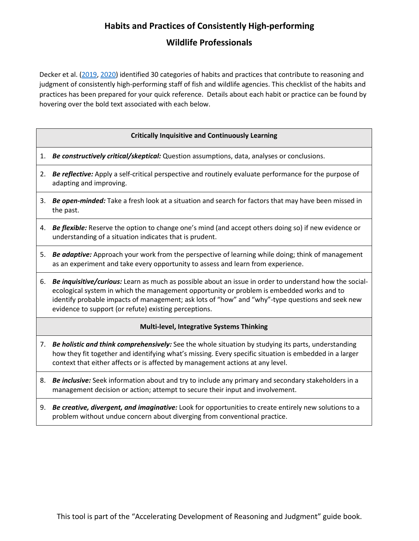# **Habits and Practices of Consistently High-performing Wildlife Professionals**

Decker et al. [\(2019,](https://core.ac.uk/download/pdf/227471999.pdf) [2020\)](https://ecommons.cornell.edu/bitstream/handle/1813/69575/TWP_14.1_What-Makes-a-Wildlifer-Stand-out-from-the-Rest_Decker-et-al.pdf?sequence=2&isAllowed=y) identified 30 categories of habits and practices that contribute to reasoning and judgment of consistently high-performing staff of fish and wildlife agencies. This checklist of the habits and practices has been prepared for your quick reference. Details about each habit or practice can be found by hovering over the bold text associated with each below.

#### **Critically Inquisitive and Continuously Learning**

- 1. *Be constructively critical/skeptical:* Question assumptions, data, analyses or conclusions.
- 2. *Be reflective:* Apply a self-critical perspective and routinely evaluate performance for the purpose of adapting and improving.
- 3. *Be open-minded:* Take a fresh look at a situation and search for factors that may have been missed in the past.
- 4. *Be flexible:* Reserve the option to change one's mind (and accept others doing so) if new evidence or understanding of a situation indicates that is prudent.
- 5. *Be adaptive:* Approach your work from the perspective of learning while doing; think of management as an experiment and take every opportunity to assess and learn from experience.
- 6. *Be inquisitive/curious:* Learn as much as possible about an issue in order to understand how the socialecological system in which the management opportunity or problem is embedded works and to identify probable impacts of management; ask lots of "how" and "why"-type questions and seek new evidence to support (or refute) existing perceptions.

### **Multi-level, Integrative Systems Thinking**

- 7. *Be holistic and think comprehensively:* See the whole situation by studying its parts, understanding how they fit together and identifying what's missing. Every specific situation is embedded in a larger context that either affects or is affected by management actions at any level.
- 8. *Be inclusive:* Seek information about and try to include any primary and secondary stakeholders in a management decision or action; attempt to secure their input and involvement.
- 9. *Be creative, divergent, and imaginative:* Look for opportunities to create entirely new solutions to a problem without undue concern about diverging from conventional practice.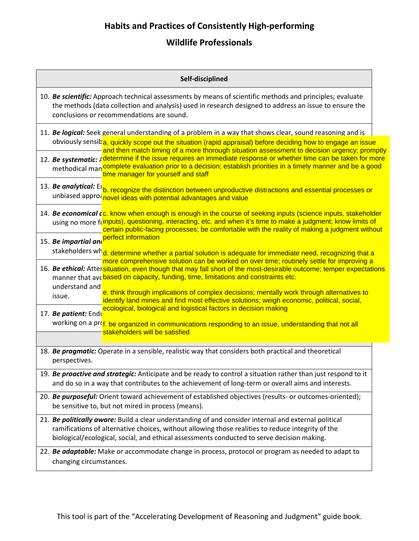## **Habits and Practices of Consistently High-performing**

## **Wildlife Professionals**

| Self-disciplined                                                                                                                                                                                                                                                                                                                            |
|---------------------------------------------------------------------------------------------------------------------------------------------------------------------------------------------------------------------------------------------------------------------------------------------------------------------------------------------|
| 10. Be scientific: Approach technical assessments by means of scientific methods and principles; evaluate<br>the methods (data collection and analysis) used in research designed to address an issue to ensure the<br>conclusions or recommendations are sound.                                                                            |
| 11. Be logical: Seek general understanding of a problem in a way that shows clear, sound reasoning and is                                                                                                                                                                                                                                   |
| obviously sensiba, quickly scope out the situation (rapid appraisal) before deciding how to engage an issue<br>and then match timing of a more thorough situation assessment to decision urgency; promptly                                                                                                                                  |
| 12. Be systematic: A determine if the issue requires an immediate response or whether time can be taken for more<br>methodical man complete evaluation prior to a decision; establish priorities in a timely manner and be a good<br>time manager for yourself and staff                                                                    |
| 13. Be analytical: E b. recognize the distinction between unproductive distractions and essential processes or<br>unbiased approantional ideas with potential advantages and value                                                                                                                                                          |
| 14. Be economical c <sub>c</sub> . know when enough is enough in the course of seeking inputs (science inputs, stakeholder<br>using no more funputs), questioning, interacting, etc. and when it's time to make a judgment; know limits of<br>certain public-facing processes; be comfortable with the reality of making a judgment without |
| 15. Be impartial and perfect information                                                                                                                                                                                                                                                                                                    |
| stakeholders wh <mark>d, determine whether a partial solution is adequate for immediate need, recognizing that a</mark><br>more comprehensive solution can be worked on over time; routinely settle for improving a                                                                                                                         |
| 16. Be ethical: Attersituation, even though that may fall short of the most-desirable outcome; temper expectations<br>manner that ave based on capacity, funding, time, limitations and constraints etc.                                                                                                                                    |
| understand and                                                                                                                                                                                                                                                                                                                              |
| e. think through implications of complex decisions; mentally work through alternatives to<br>issue.<br>identify land mines and find most effective solutions; weigh economic, political, social,                                                                                                                                            |
| ecological, biological and logistical factors in decision making<br>17. Be patient: Endu                                                                                                                                                                                                                                                    |
| working on a prof. be organized in communications responding to an issue, understanding that not all<br>stakeholders will be satisfied                                                                                                                                                                                                      |
|                                                                                                                                                                                                                                                                                                                                             |
| 18. Be pragmatic: Operate in a sensible, realistic way that considers both practical and theoretical<br>perspectives.                                                                                                                                                                                                                       |
| 19. Be proactive and strategic: Anticipate and be ready to control a situation rather than just respond to it<br>and do so in a way that contributes to the achievement of long-term or overall aims and interests.                                                                                                                         |
| 20. Be purposeful: Orient toward achievement of established objectives (results- or outcomes-oriented);<br>be sensitive to, but not mired in process (means).                                                                                                                                                                               |
| 21. Be politically aware: Build a clear understanding of and consider internal and external political                                                                                                                                                                                                                                       |
| ramifications of alternative choices, without allowing those realities to reduce integrity of the<br>biological/ecological, social, and ethical assessments conducted to serve decision making.                                                                                                                                             |
| 22. Be adaptable: Make or accommodate change in process, protocol or program as needed to adapt to                                                                                                                                                                                                                                          |
| changing circumstances.                                                                                                                                                                                                                                                                                                                     |